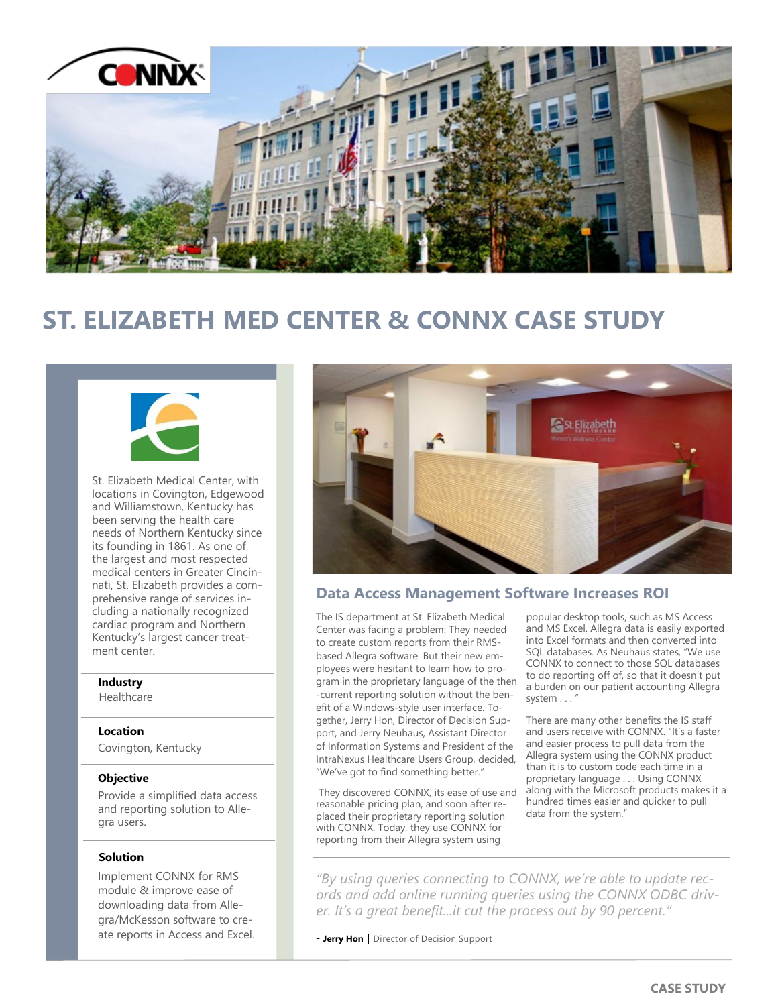

# **ST. ELIZABETH MED CENTER & CONNX CASE STUDY**



St. Elizabeth Medical Center, with locations in Covington, Edgewood and Williamstown, Kentucky has been serving the health care needs of Northern Kentucky since its founding in 1861. As one of the largest and most respected medical centers in Greater Cincinnati, St. Elizabeth provides a comprehensive range of services including a nationally recognized cardiac program and Northern Kentucky's largest cancer treatment center.

## **Industry**

Healthcare

### **Location**

Covington, Kentucky

### **Objective**

Provide a simplified data access and reporting solution to Allegra users.

### **Solution**

Implement CONNX for RMS module & improve ease of downloading data from Allegra/McKesson software to create reports in Access and Excel.



# **Data Access Management Software Increases ROI**

The IS department at St. Elizabeth Medical Center was facing a problem: They needed to create custom reports from their RMSbased Allegra software. But their new employees were hesitant to learn how to program in the proprietary language of the then -current reporting solution without the benefit of a Windows-style user interface. Together, Jerry Hon, Director of Decision Support, and Jerry Neuhaus, Assistant Director of Information Systems and President of the IntraNexus Healthcare Users Group, decided, "We've got to find something better."

They discovered CONNX, its ease of use and reasonable pricing plan, and soon after replaced their proprietary reporting solution with CONNX. Today, they use CONNX for reporting from their Allegra system using

popular desktop tools, such as MS Access and MS Excel. Allegra data is easily exported into Excel formats and then converted into SQL databases. As Neuhaus states, "We use CONNX to connect to those SQL databases to do reporting off of, so that it doesn't put a burden on our patient accounting Allegra system . . .

There are many other benefits the IS staff and users receive with CONNX. "It's a faster and easier process to pull data from the Allegra system using the CONNX product than it is to custom code each time in a proprietary language . . . Using CONNX along with the Microsoft products makes it a hundred times easier and quicker to pull data from the system."

*"By using queries connecting to CONNX, we're able to update records and add online running queries using the CONNX ODBC driver. It's a great benefit...it cut the process out by 90 percent."* 

- **Jerry Hon** | Director of Decision Support